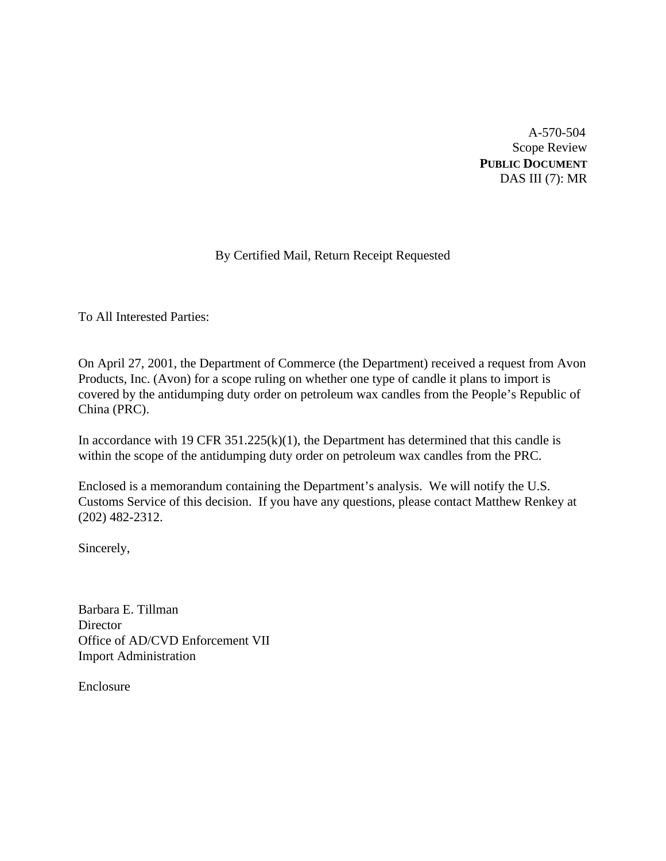A-570-504 Scope Review **PUBLIC DOCUMENT** DAS III (7): MR

# By Certified Mail, Return Receipt Requested

To All Interested Parties:

On April 27, 2001, the Department of Commerce (the Department) received a request from Avon Products, Inc. (Avon) for a scope ruling on whether one type of candle it plans to import is covered by the antidumping duty order on petroleum wax candles from the People's Republic of China (PRC).

In accordance with 19 CFR  $351.225(k)(1)$ , the Department has determined that this candle is within the scope of the antidumping duty order on petroleum wax candles from the PRC.

Enclosed is a memorandum containing the Department's analysis. We will notify the U.S. Customs Service of this decision. If you have any questions, please contact Matthew Renkey at (202) 482-2312.

Sincerely,

Barbara E. Tillman **Director** Office of AD/CVD Enforcement VII Import Administration

Enclosure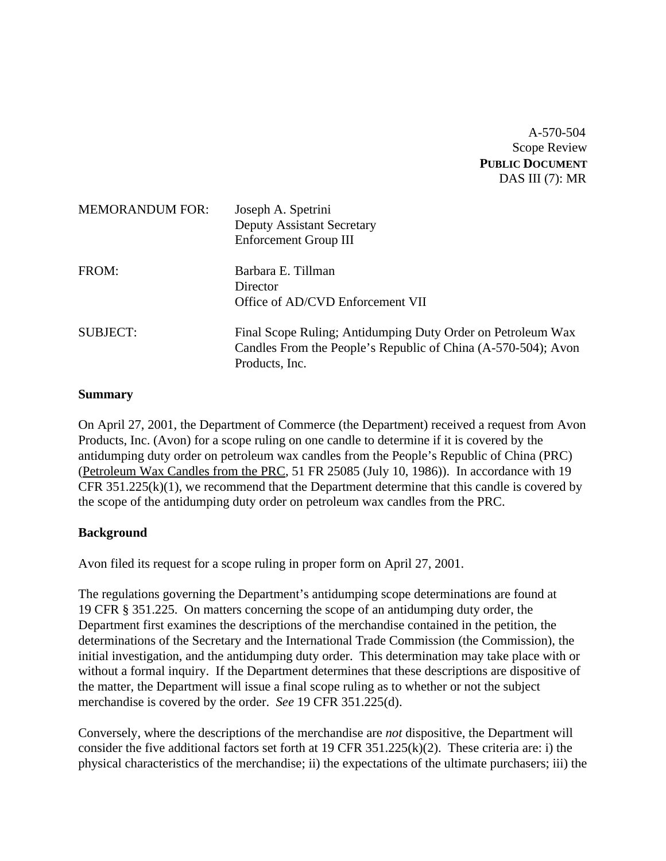A-570-504 Scope Review **PUBLIC DOCUMENT** DAS III (7): MR

| <b>MEMORANDUM FOR:</b> | Joseph A. Spetrini<br><b>Deputy Assistant Secretary</b><br>Enforcement Group III                                                               |
|------------------------|------------------------------------------------------------------------------------------------------------------------------------------------|
| FROM:                  | Barbara E. Tillman<br>Director<br>Office of AD/CVD Enforcement VII                                                                             |
| <b>SUBJECT:</b>        | Final Scope Ruling; Antidumping Duty Order on Petroleum Wax<br>Candles From the People's Republic of China (A-570-504); Avon<br>Products, Inc. |

### **Summary**

On April 27, 2001, the Department of Commerce (the Department) received a request from Avon Products, Inc. (Avon) for a scope ruling on one candle to determine if it is covered by the antidumping duty order on petroleum wax candles from the People's Republic of China (PRC) (Petroleum Wax Candles from the PRC, 51 FR 25085 (July 10, 1986)). In accordance with 19 CFR  $351.225(k)(1)$ , we recommend that the Department determine that this candle is covered by the scope of the antidumping duty order on petroleum wax candles from the PRC.

### **Background**

Avon filed its request for a scope ruling in proper form on April 27, 2001.

The regulations governing the Department's antidumping scope determinations are found at 19 CFR § 351.225. On matters concerning the scope of an antidumping duty order, the Department first examines the descriptions of the merchandise contained in the petition, the determinations of the Secretary and the International Trade Commission (the Commission), the initial investigation, and the antidumping duty order. This determination may take place with or without a formal inquiry. If the Department determines that these descriptions are dispositive of the matter, the Department will issue a final scope ruling as to whether or not the subject merchandise is covered by the order. *See* 19 CFR 351.225(d).

Conversely, where the descriptions of the merchandise are *not* dispositive, the Department will consider the five additional factors set forth at 19 CFR 351.225(k)(2). These criteria are: i) the physical characteristics of the merchandise; ii) the expectations of the ultimate purchasers; iii) the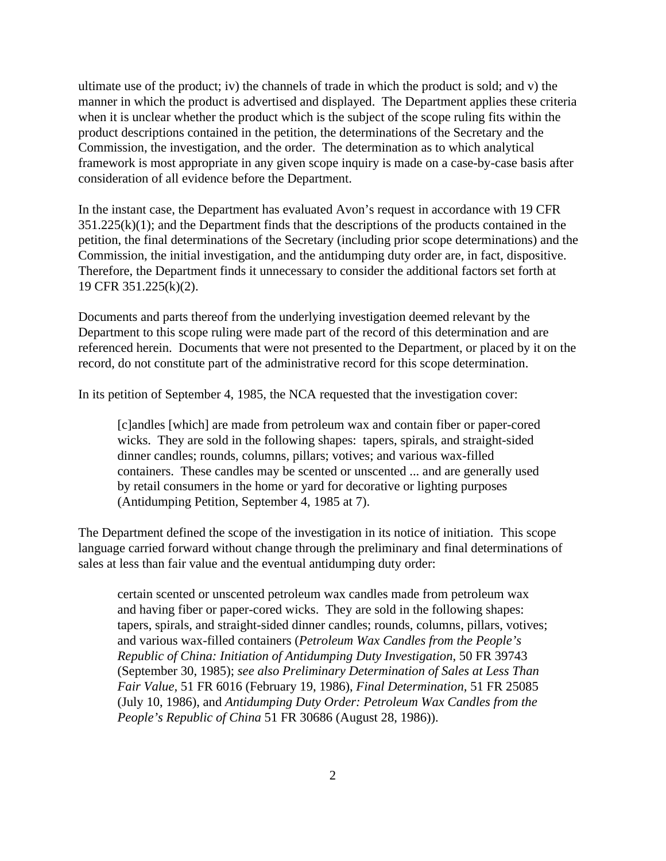ultimate use of the product; iv) the channels of trade in which the product is sold; and v) the manner in which the product is advertised and displayed. The Department applies these criteria when it is unclear whether the product which is the subject of the scope ruling fits within the product descriptions contained in the petition, the determinations of the Secretary and the Commission, the investigation, and the order. The determination as to which analytical framework is most appropriate in any given scope inquiry is made on a case-by-case basis after consideration of all evidence before the Department.

In the instant case, the Department has evaluated Avon's request in accordance with 19 CFR  $351.225(k)(1)$ ; and the Department finds that the descriptions of the products contained in the petition, the final determinations of the Secretary (including prior scope determinations) and the Commission, the initial investigation, and the antidumping duty order are, in fact, dispositive. Therefore, the Department finds it unnecessary to consider the additional factors set forth at 19 CFR 351.225(k)(2).

Documents and parts thereof from the underlying investigation deemed relevant by the Department to this scope ruling were made part of the record of this determination and are referenced herein. Documents that were not presented to the Department, or placed by it on the record, do not constitute part of the administrative record for this scope determination.

In its petition of September 4, 1985, the NCA requested that the investigation cover:

[c]andles [which] are made from petroleum wax and contain fiber or paper-cored wicks. They are sold in the following shapes: tapers, spirals, and straight-sided dinner candles; rounds, columns, pillars; votives; and various wax-filled containers. These candles may be scented or unscented ... and are generally used by retail consumers in the home or yard for decorative or lighting purposes (Antidumping Petition, September 4, 1985 at 7).

The Department defined the scope of the investigation in its notice of initiation. This scope language carried forward without change through the preliminary and final determinations of sales at less than fair value and the eventual antidumping duty order:

certain scented or unscented petroleum wax candles made from petroleum wax and having fiber or paper-cored wicks. They are sold in the following shapes: tapers, spirals, and straight-sided dinner candles; rounds, columns, pillars, votives; and various wax-filled containers (*Petroleum Wax Candles from the People's Republic of China: Initiation of Antidumping Duty Investigation*, 50 FR 39743 (September 30, 1985); *see also Preliminary Determination of Sales at Less Than Fair Value,* 51 FR 6016 (February 19, 1986), *Final Determination,* 51 FR 25085 (July 10, 1986), and *Antidumping Duty Order: Petroleum Wax Candles from the People's Republic of China* 51 FR 30686 (August 28, 1986)).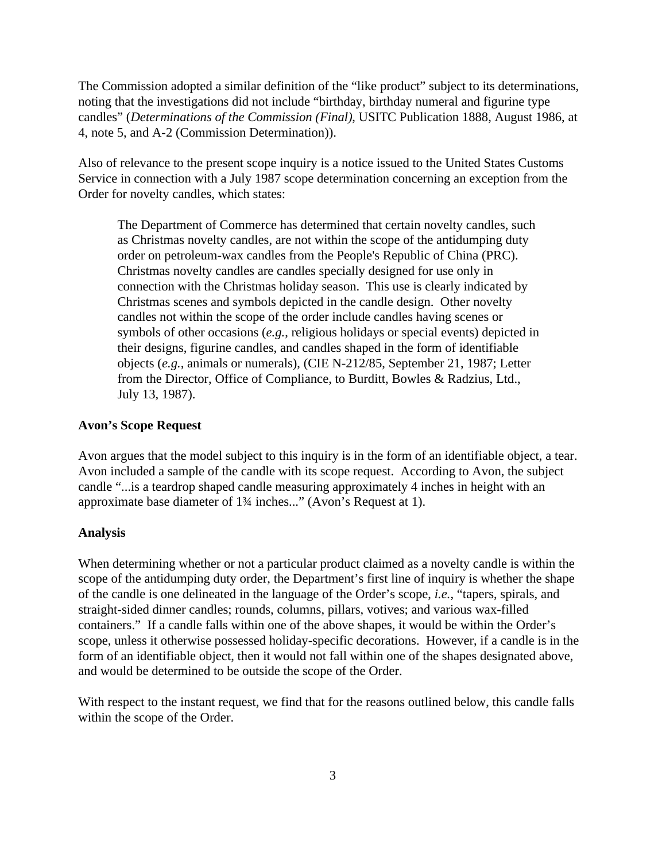The Commission adopted a similar definition of the "like product" subject to its determinations, noting that the investigations did not include "birthday, birthday numeral and figurine type candles" (*Determinations of the Commission (Final)*, USITC Publication 1888, August 1986, at 4, note 5, and A-2 (Commission Determination)).

Also of relevance to the present scope inquiry is a notice issued to the United States Customs Service in connection with a July 1987 scope determination concerning an exception from the Order for novelty candles, which states:

The Department of Commerce has determined that certain novelty candles, such as Christmas novelty candles, are not within the scope of the antidumping duty order on petroleum-wax candles from the People's Republic of China (PRC). Christmas novelty candles are candles specially designed for use only in connection with the Christmas holiday season. This use is clearly indicated by Christmas scenes and symbols depicted in the candle design. Other novelty candles not within the scope of the order include candles having scenes or symbols of other occasions (*e.g.*, religious holidays or special events) depicted in their designs, figurine candles, and candles shaped in the form of identifiable objects (*e.g.*, animals or numerals), (CIE N-212/85, September 21, 1987; Letter from the Director, Office of Compliance, to Burditt, Bowles & Radzius, Ltd., July 13, 1987).

### **Avon's Scope Request**

Avon argues that the model subject to this inquiry is in the form of an identifiable object, a tear. Avon included a sample of the candle with its scope request. According to Avon, the subject candle "...is a teardrop shaped candle measuring approximately 4 inches in height with an approximate base diameter of 1¾ inches..." (Avon's Request at 1).

#### **Analysis**

When determining whether or not a particular product claimed as a novelty candle is within the scope of the antidumping duty order, the Department's first line of inquiry is whether the shape of the candle is one delineated in the language of the Order's scope, *i.e.*, "tapers, spirals, and straight-sided dinner candles; rounds, columns, pillars, votives; and various wax-filled containers." If a candle falls within one of the above shapes, it would be within the Order's scope, unless it otherwise possessed holiday-specific decorations. However, if a candle is in the form of an identifiable object, then it would not fall within one of the shapes designated above, and would be determined to be outside the scope of the Order.

With respect to the instant request, we find that for the reasons outlined below, this candle falls within the scope of the Order.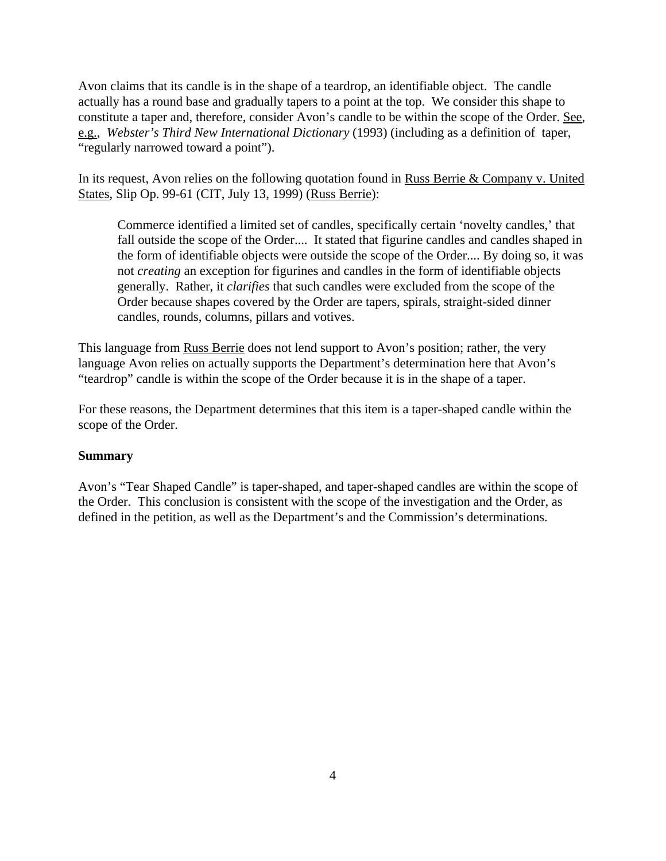Avon claims that its candle is in the shape of a teardrop, an identifiable object. The candle actually has a round base and gradually tapers to a point at the top. We consider this shape to constitute a taper and, therefore, consider Avon's candle to be within the scope of the Order. See, e.g., *Webster's Third New International Dictionary* (1993) (including as a definition of taper, "regularly narrowed toward a point").

In its request, Avon relies on the following quotation found in Russ Berrie & Company v. United States, Slip Op. 99-61 (CIT, July 13, 1999) (Russ Berrie):

Commerce identified a limited set of candles, specifically certain 'novelty candles,' that fall outside the scope of the Order.... It stated that figurine candles and candles shaped in the form of identifiable objects were outside the scope of the Order.... By doing so, it was not *creating* an exception for figurines and candles in the form of identifiable objects generally. Rather, it *clarifies* that such candles were excluded from the scope of the Order because shapes covered by the Order are tapers, spirals, straight-sided dinner candles, rounds, columns, pillars and votives.

This language from Russ Berrie does not lend support to Avon's position; rather, the very language Avon relies on actually supports the Department's determination here that Avon's "teardrop" candle is within the scope of the Order because it is in the shape of a taper.

For these reasons, the Department determines that this item is a taper-shaped candle within the scope of the Order.

## **Summary**

Avon's "Tear Shaped Candle" is taper-shaped, and taper-shaped candles are within the scope of the Order. This conclusion is consistent with the scope of the investigation and the Order, as defined in the petition, as well as the Department's and the Commission's determinations.